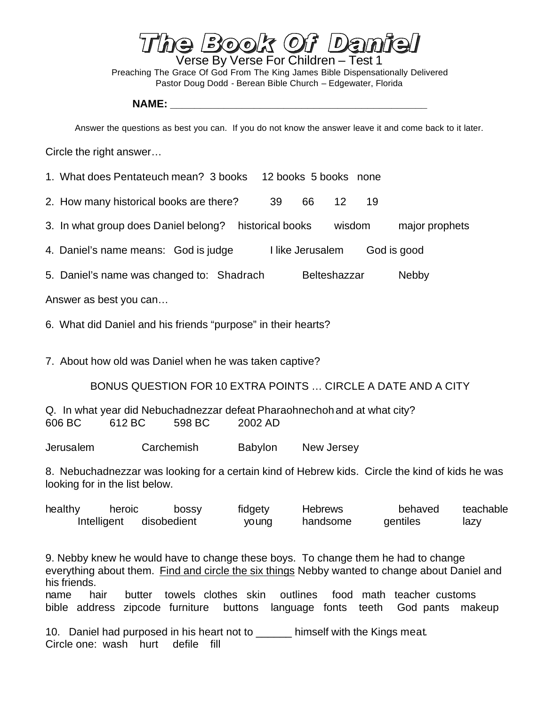$F(D)$ Verse By Verse For Children – Test 1 Preaching The Grace Of God From The King James Bible Dispensationally Delivered Pastor Doug Dodd - Berean Bible Church – Edgewater, Florida

## **NAME: \_\_\_\_\_\_\_\_\_\_\_\_\_\_\_\_\_\_\_\_\_\_\_\_\_\_\_\_\_\_\_\_\_\_\_\_\_\_\_\_\_\_\_**

Answer the questions as best you can. If you do not know the answer leave it and come back to it later.

Circle the right answer…

- 1. What does Pentateuch mean? 3 books 12 books 5 books none
- 2. How many historical books are there? 39 66 12 19
- 3. In what group does Daniel belong? historical books wisdom major prophets
- 4. Daniel's name means: God is judge Ilike Jerusalem God is good
- 5. Daniel's name was changed to: Shadrach Belteshazzar Nebby

Answer as best you can…

6. What did Daniel and his friends "purpose" in their hearts?

7. About how old was Daniel when he was taken captive?

## BONUS QUESTION FOR 10 EXTRA POINTS … CIRCLE A DATE AND A CITY

Q. In what year did Nebuchadnezzar defeat Pharaohnechohand at what city? 606 BC 612 BC 598 BC 2002 AD

Jerusalem Carchemish Babylon New Jersey

8. Nebuchadnezzar was looking for a certain kind of Hebrew kids. Circle the kind of kids he was looking for in the list below.

| healthy | heroic      | bossy       | fidgety | <b>Hebrews</b> | behaved  | teachable |
|---------|-------------|-------------|---------|----------------|----------|-----------|
|         | Intelligent | disobedient | young   | handsome       | gentiles | lazy      |

9. Nebby knew he would have to change these boys. To change them he had to change everything about them. Find and circle the six things Nebby wanted to change about Daniel and his friends.

name hair butter towels clothes skin outlines food math teacher customs bible address zipcode furniture buttons language fonts teeth God pants makeup

10. Daniel had purposed in his heart not to \_\_\_\_\_\_ himself with the Kings meat. Circle one: wash hurt defile fill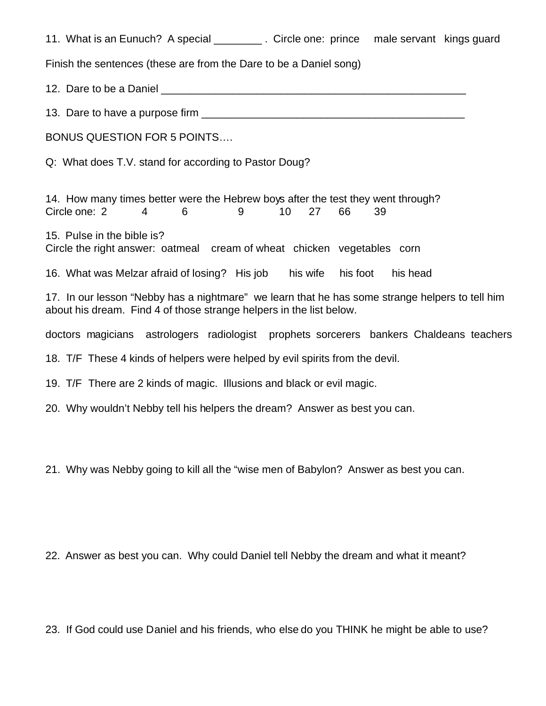| 11. What is an Eunuch? A special _________. Circle one: prince male servant kings guard                                                                                |                      |  |  |  |  |  |  |
|------------------------------------------------------------------------------------------------------------------------------------------------------------------------|----------------------|--|--|--|--|--|--|
| Finish the sentences (these are from the Dare to be a Daniel song)                                                                                                     |                      |  |  |  |  |  |  |
|                                                                                                                                                                        |                      |  |  |  |  |  |  |
|                                                                                                                                                                        |                      |  |  |  |  |  |  |
| <b>BONUS QUESTION FOR 5 POINTS</b>                                                                                                                                     |                      |  |  |  |  |  |  |
| Q: What does T.V. stand for according to Pastor Doug?                                                                                                                  |                      |  |  |  |  |  |  |
| 14. How many times better were the Hebrew boys after the test they went through?<br>Circle one: 2<br>6<br>4<br>9                                                       | 27<br>66<br>10<br>39 |  |  |  |  |  |  |
| 15. Pulse in the bible is?<br>Circle the right answer: oatmeal cream of wheat chicken vegetables corn                                                                  |                      |  |  |  |  |  |  |
| 16. What was Melzar afraid of losing? His job his wife his foot                                                                                                        | his head             |  |  |  |  |  |  |
| 17. In our lesson "Nebby has a nightmare" we learn that he has some strange helpers to tell him<br>about his dream. Find 4 of those strange helpers in the list below. |                      |  |  |  |  |  |  |
| doctors magicians astrologers radiologist prophets sorcerers bankers Chaldeans teachers                                                                                |                      |  |  |  |  |  |  |
| 18. T/F These 4 kinds of helpers were helped by evil spirits from the devil.                                                                                           |                      |  |  |  |  |  |  |
| 19. T/F There are 2 kinds of magic. Illusions and black or evil magic.                                                                                                 |                      |  |  |  |  |  |  |
| 20. Why wouldn't Nebby tell his helpers the dream? Answer as best you can.                                                                                             |                      |  |  |  |  |  |  |
| 21. Why was Nebby going to kill all the "wise men of Babylon? Answer as best you can.                                                                                  |                      |  |  |  |  |  |  |
|                                                                                                                                                                        |                      |  |  |  |  |  |  |

22. Answer as best you can. Why could Daniel tell Nebby the dream and what it meant?

23. If God could use Daniel and his friends, who else do you THINK he might be able to use?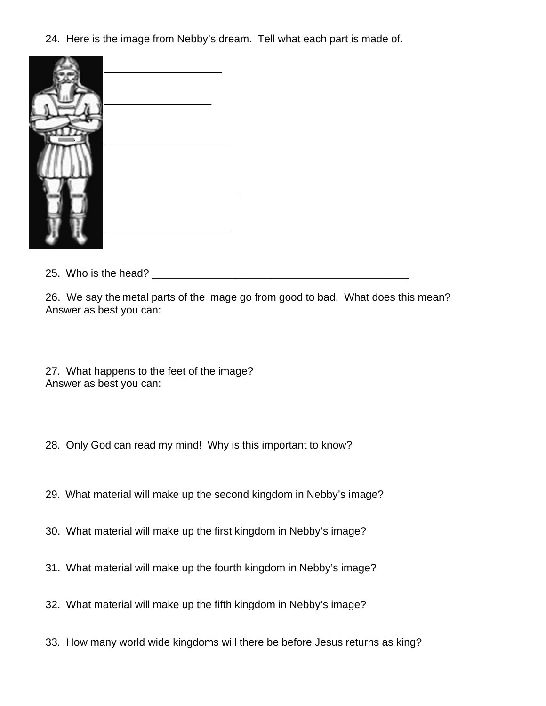24. Here is the image from Nebby's dream. Tell what each part is made of.



25. Who is the head? \_\_\_\_\_\_\_\_\_\_\_\_\_\_\_\_\_\_\_\_\_\_\_\_\_\_\_\_\_\_\_\_\_\_\_\_\_\_\_\_\_\_\_

26. We say the metal parts of the image go from good to bad. What does this mean? Answer as best you can:

27. What happens to the feet of the image? Answer as best you can:

- 28. Only God can read my mind! Why is this important to know?
- 29. What material will make up the second kingdom in Nebby's image?
- 30. What material will make up the first kingdom in Nebby's image?
- 31. What material will make up the fourth kingdom in Nebby's image?
- 32. What material will make up the fifth kingdom in Nebby's image?
- 33. How many world wide kingdoms will there be before Jesus returns as king?